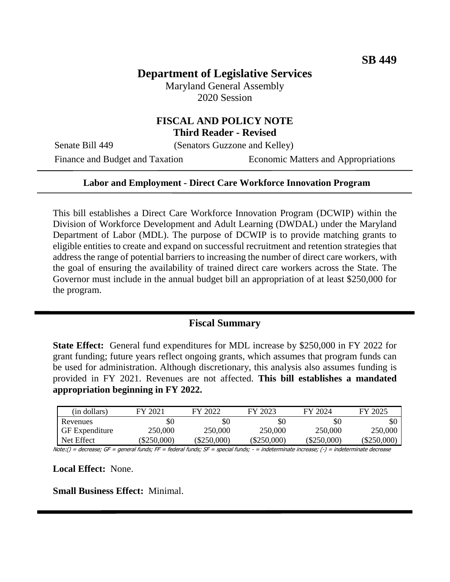# **Department of Legislative Services**

Maryland General Assembly 2020 Session

### **FISCAL AND POLICY NOTE Third Reader - Revised**

Senate Bill 449 (Senators Guzzone and Kelley)

Finance and Budget and Taxation Economic Matters and Appropriations

#### **Labor and Employment - Direct Care Workforce Innovation Program**

This bill establishes a Direct Care Workforce Innovation Program (DCWIP) within the Division of Workforce Development and Adult Learning (DWDAL) under the Maryland Department of Labor (MDL). The purpose of DCWIP is to provide matching grants to eligible entities to create and expand on successful recruitment and retention strategies that address the range of potential barriers to increasing the number of direct care workers, with the goal of ensuring the availability of trained direct care workers across the State. The Governor must include in the annual budget bill an appropriation of at least \$250,000 for the program.

#### **Fiscal Summary**

**State Effect:** General fund expenditures for MDL increase by \$250,000 in FY 2022 for grant funding; future years reflect ongoing grants, which assumes that program funds can be used for administration. Although discretionary, this analysis also assumes funding is provided in FY 2021. Revenues are not affected. **This bill establishes a mandated appropriation beginning in FY 2022.**

| (in dollars)          | FY 2021     | FY 2022     | FY 2023       | FY 2024       | FY 2025   |
|-----------------------|-------------|-------------|---------------|---------------|-----------|
| Revenues              | \$0         | \$0         | \$0           | \$0           | SC        |
| <b>GF</b> Expenditure | 250,000     | 250,000     | 250,000       | 250,000       | 250,000   |
| Net Effect            | (\$250,000) | (\$250.000) | $(\$250,000)$ | $(\$250,000)$ | \$250,000 |

Note:() = decrease; GF = general funds; FF = federal funds; SF = special funds; - = indeterminate increase; (-) = indeterminate decrease

**Local Effect:** None.

**Small Business Effect:** Minimal.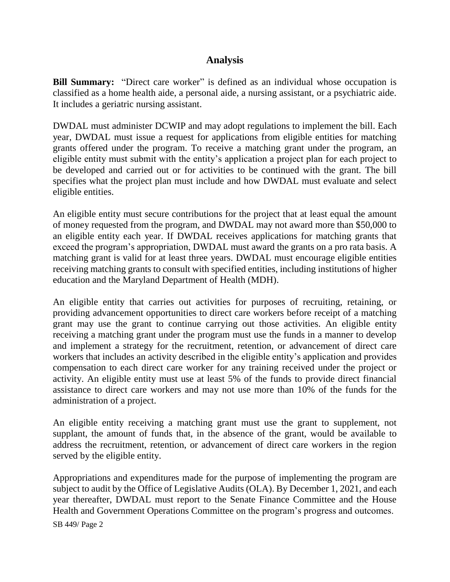# **Analysis**

**Bill Summary:** "Direct care worker" is defined as an individual whose occupation is classified as a home health aide, a personal aide, a nursing assistant, or a psychiatric aide. It includes a geriatric nursing assistant.

DWDAL must administer DCWIP and may adopt regulations to implement the bill. Each year, DWDAL must issue a request for applications from eligible entities for matching grants offered under the program. To receive a matching grant under the program, an eligible entity must submit with the entity's application a project plan for each project to be developed and carried out or for activities to be continued with the grant. The bill specifies what the project plan must include and how DWDAL must evaluate and select eligible entities.

An eligible entity must secure contributions for the project that at least equal the amount of money requested from the program, and DWDAL may not award more than \$50,000 to an eligible entity each year. If DWDAL receives applications for matching grants that exceed the program's appropriation, DWDAL must award the grants on a pro rata basis. A matching grant is valid for at least three years. DWDAL must encourage eligible entities receiving matching grants to consult with specified entities, including institutions of higher education and the Maryland Department of Health (MDH).

An eligible entity that carries out activities for purposes of recruiting, retaining, or providing advancement opportunities to direct care workers before receipt of a matching grant may use the grant to continue carrying out those activities. An eligible entity receiving a matching grant under the program must use the funds in a manner to develop and implement a strategy for the recruitment, retention, or advancement of direct care workers that includes an activity described in the eligible entity's application and provides compensation to each direct care worker for any training received under the project or activity. An eligible entity must use at least 5% of the funds to provide direct financial assistance to direct care workers and may not use more than 10% of the funds for the administration of a project.

An eligible entity receiving a matching grant must use the grant to supplement, not supplant, the amount of funds that, in the absence of the grant, would be available to address the recruitment, retention, or advancement of direct care workers in the region served by the eligible entity.

Appropriations and expenditures made for the purpose of implementing the program are subject to audit by the Office of Legislative Audits (OLA). By December 1, 2021, and each year thereafter, DWDAL must report to the Senate Finance Committee and the House Health and Government Operations Committee on the program's progress and outcomes.

SB 449/ Page 2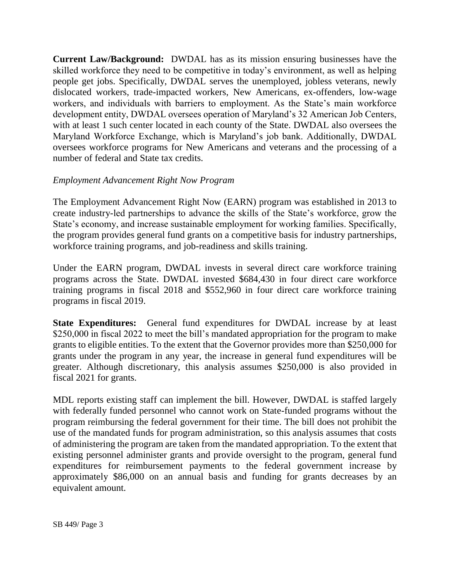**Current Law/Background:** DWDAL has as its mission ensuring businesses have the skilled workforce they need to be competitive in today's environment, as well as helping people get jobs. Specifically, DWDAL serves the unemployed, jobless veterans, newly dislocated workers, trade-impacted workers, New Americans, ex-offenders, low-wage workers, and individuals with barriers to employment. As the State's main workforce development entity, DWDAL oversees operation of Maryland's 32 American Job Centers, with at least 1 such center located in each county of the State. DWDAL also oversees the Maryland Workforce Exchange, which is Maryland's job bank. Additionally, DWDAL oversees workforce programs for New Americans and veterans and the processing of a number of federal and State tax credits.

### *Employment Advancement Right Now Program*

The Employment Advancement Right Now (EARN) program was established in 2013 to create industry-led partnerships to advance the skills of the State's workforce, grow the State's economy, and increase sustainable employment for working families. Specifically, the program provides general fund grants on a competitive basis for industry partnerships, workforce training programs, and job-readiness and skills training.

Under the EARN program, DWDAL invests in several direct care workforce training programs across the State. DWDAL invested \$684,430 in four direct care workforce training programs in fiscal 2018 and \$552,960 in four direct care workforce training programs in fiscal 2019.

**State Expenditures:** General fund expenditures for DWDAL increase by at least \$250,000 in fiscal 2022 to meet the bill's mandated appropriation for the program to make grants to eligible entities. To the extent that the Governor provides more than \$250,000 for grants under the program in any year, the increase in general fund expenditures will be greater. Although discretionary, this analysis assumes \$250,000 is also provided in fiscal 2021 for grants.

MDL reports existing staff can implement the bill. However, DWDAL is staffed largely with federally funded personnel who cannot work on State-funded programs without the program reimbursing the federal government for their time. The bill does not prohibit the use of the mandated funds for program administration, so this analysis assumes that costs of administering the program are taken from the mandated appropriation. To the extent that existing personnel administer grants and provide oversight to the program, general fund expenditures for reimbursement payments to the federal government increase by approximately \$86,000 on an annual basis and funding for grants decreases by an equivalent amount.